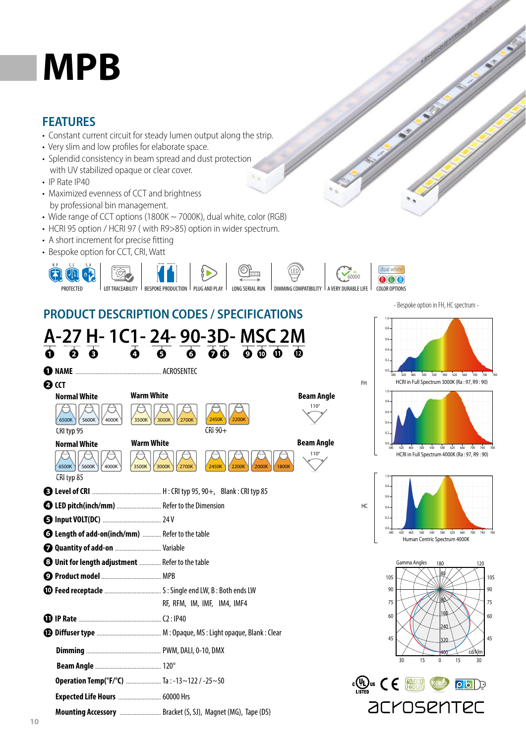## **MPB**

## **FEATURES**

- Constant current circuit for steady lumen output along the strip.
- Very slim and low profiles for elaborate space.
- Splendid consistency in beam spread and dust protection with UV stabilized opaque or clear cover.
- IP Rate IP40
- Maximized evenness of CCT and brightness by professional bin management.
- Wide range of CCT options (1800K ~ 7000K), dual white, color (RGB)
- HCRI 95 option / HCRI 97 ( with R9>85) option in wider spectrum.
- A short increment for precise fitting
- Bespoke option for CCT, CRI, Watt



## **PRODUCT DESCRIPTION CODES / SPECIFICATIONS**

| A-27 H- 1C1- 24- 90-3D- MSC 2M                          |                                                             |                                                                                                                         |                   |  |  |  |  |
|---------------------------------------------------------|-------------------------------------------------------------|-------------------------------------------------------------------------------------------------------------------------|-------------------|--|--|--|--|
| $\bullet$ $\bullet$                                     |                                                             | $\overline{0}$ $\overline{0}$ $\overline{0}$ $\overline{0}$ $\overline{0}$ $\overline{0}$ $\overline{0}$ $\overline{0}$ |                   |  |  |  |  |
|                                                         |                                                             |                                                                                                                         |                   |  |  |  |  |
| <b>O</b> CCT                                            |                                                             |                                                                                                                         |                   |  |  |  |  |
| <b>Normal White</b>                                     | <b>Warm White</b>                                           |                                                                                                                         | <b>Beam Angle</b> |  |  |  |  |
| 6500K<br>5600K<br>4000K<br>CRI typ 95                   | 3500K<br>3000K<br>2700K                                     | 2450K<br>2200K<br>CRI 90+                                                                                               | $110^\circ$       |  |  |  |  |
| <b>Normal White</b>                                     | <b>Warm White</b>                                           |                                                                                                                         | <b>Beam Angle</b> |  |  |  |  |
| 6500K<br>5600K<br>4000K                                 | 3000K<br>3500K<br>2700K                                     | 2000K<br>2200K<br><b>1800K</b><br>2450K                                                                                 | $110^{\circ}$     |  |  |  |  |
| CRI typ 85                                              |                                                             |                                                                                                                         |                   |  |  |  |  |
|                                                         |                                                             |                                                                                                                         |                   |  |  |  |  |
|                                                         |                                                             |                                                                                                                         |                   |  |  |  |  |
|                                                         |                                                             |                                                                                                                         |                   |  |  |  |  |
| <b>6 Length of add-on(inch/mm)</b> Refer to the table   |                                                             |                                                                                                                         |                   |  |  |  |  |
| <b>Q Quantity of add-on</b> Variable                    |                                                             |                                                                                                                         |                   |  |  |  |  |
| <b>3 Unit for length adjustment </b> Refer to the table |                                                             |                                                                                                                         |                   |  |  |  |  |
|                                                         |                                                             |                                                                                                                         |                   |  |  |  |  |
|                                                         |                                                             |                                                                                                                         |                   |  |  |  |  |
|                                                         |                                                             | RF, RFM, IM, IMF, IM4, IMF4                                                                                             |                   |  |  |  |  |
|                                                         |                                                             |                                                                                                                         |                   |  |  |  |  |
|                                                         |                                                             |                                                                                                                         |                   |  |  |  |  |
|                                                         |                                                             |                                                                                                                         |                   |  |  |  |  |
|                                                         |                                                             |                                                                                                                         |                   |  |  |  |  |
|                                                         | Operation Temp(°F/°C)  Ta:-13~122/-25~50                    |                                                                                                                         |                   |  |  |  |  |
|                                                         |                                                             |                                                                                                                         |                   |  |  |  |  |
|                                                         | Mounting Accessory  Bracket (S, SJ), Magnet (MG), Tape (DS) |                                                                                                                         |                   |  |  |  |  |





HC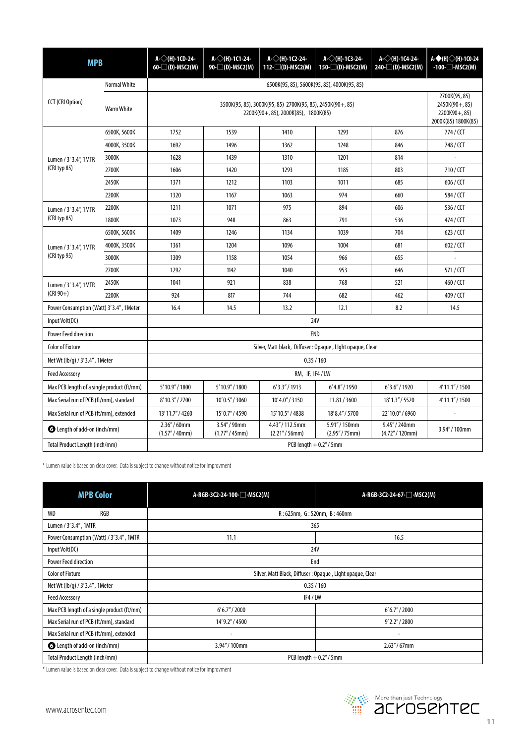| <b>MPB</b>                                 |                     | A-◇(H)-1CD-24-<br>$60$ - $\Box$ (D)-MSC2(M)                                                        | A-◇(H)-1C1-24-<br>90-□(D)-MSC2(M) | A- $\diamond$ (H)-1C2-24-<br>$112 - \square(D)$ -MSC2(M) | A- $\diamond$ (H)-1C3-24-<br>$150 - (D)$ -MSC2(M) | A- $\diamond$ (H)-1C4-24-<br>$240$ - $\Box$ (D)-MSC2(M) | $A-\bigoplus(H)\bigotimes(H)$ -1CO-24<br>$-100$ $ MSC2(M)$                |  |
|--------------------------------------------|---------------------|----------------------------------------------------------------------------------------------------|-----------------------------------|----------------------------------------------------------|---------------------------------------------------|---------------------------------------------------------|---------------------------------------------------------------------------|--|
|                                            | <b>Normal White</b> | 6500K(95, 85), 5600K(95, 85), 4000K(95, 85)                                                        |                                   |                                                          |                                                   |                                                         |                                                                           |  |
| <b>CCT</b> (CRI Option)                    | <b>Warm White</b>   | 3500K(95, 85), 3000K(95, 85) 2700K(95, 85), 2450K(90+, 85)<br>2200K(90+, 85), 2000K(85), 1800K(85) |                                   |                                                          |                                                   |                                                         | 2700K(95, 85)<br>$2450K(90+, 85)$<br>2200K90+, 85)<br>2000K(85) 1800K(85) |  |
|                                            | 6500K, 5600K        | 1752                                                                                               | 1539                              | 1410                                                     | 1293                                              | 876                                                     | 774/CCT                                                                   |  |
|                                            | 4000K, 3500K        | 1692                                                                                               | 1496                              | 1362                                                     | 1248                                              | 846                                                     | 748 / CCT                                                                 |  |
| Lumen / 3' 3.4", 1MTR                      | 3000K               | 1628                                                                                               | 1439                              | 1310                                                     | 1201                                              | 814                                                     |                                                                           |  |
| (CRI typ 85)                               | 2700K               | 1606                                                                                               | 1420                              | 1293                                                     | 1185                                              | 803                                                     | 710/CCT                                                                   |  |
|                                            | 2450K               | 1371                                                                                               | 1212                              | 1103                                                     | 1011                                              | 685                                                     | 606 / CCT                                                                 |  |
|                                            | 2200K               | 1320                                                                                               | 1167                              | 1063                                                     | 974                                               | 660                                                     | 584/CCT                                                                   |  |
| Lumen / 3' 3.4", 1MTR                      | 2200K               | 1211                                                                                               | 1071                              | 975                                                      | 894                                               | 606                                                     | 536/CCT                                                                   |  |
| $(CRI$ typ 85)                             | 1800K               | 1073                                                                                               | 948                               | 863                                                      | 791                                               | 536                                                     | 474 / CCT                                                                 |  |
|                                            | 6500K, 5600K        | 1409                                                                                               | 1246                              | 1134                                                     | 1039                                              | 704                                                     | 623 / CCT                                                                 |  |
| Lumen / 3' 3.4", 1MTR                      | 4000K, 3500K        | 1361                                                                                               | 1204                              | 1096                                                     | 1004                                              | 681                                                     | 602 / CCT                                                                 |  |
| (CRI typ 95)                               | 3000K               | 1309                                                                                               | 1158                              | 1054                                                     | 966                                               | 655                                                     |                                                                           |  |
|                                            | 2700K               | 1292                                                                                               | 1142                              | 1040                                                     | 953                                               | 646                                                     | 571/CCT                                                                   |  |
| Lumen / 3' 3.4", 1MTR                      | 2450K               | 1041                                                                                               | 921                               | 838                                                      | 768                                               | 521                                                     | 460 / CCT                                                                 |  |
| $(CRI 90+)$                                | 2200K               | 924                                                                                                | 817                               | 744                                                      | 682                                               | 462                                                     | 409 / CCT                                                                 |  |
| Power Consumption (Watt) 3'3.4", 1Meter    |                     | 16.4                                                                                               | 14.5                              | 13.2                                                     | 12.1                                              | 8.2                                                     | 14.5                                                                      |  |
| Input Volt(DC)                             |                     | 24V                                                                                                |                                   |                                                          |                                                   |                                                         |                                                                           |  |
| <b>Power Feed direction</b>                |                     | <b>END</b>                                                                                         |                                   |                                                          |                                                   |                                                         |                                                                           |  |
| <b>Color of Fixture</b>                    |                     | Silver, Matt black, Diffuser : Opaque, Llght opaque, Clear                                         |                                   |                                                          |                                                   |                                                         |                                                                           |  |
| Net Wt (lb/g) / 3'3.4", 1Meter             |                     | 0.35/160                                                                                           |                                   |                                                          |                                                   |                                                         |                                                                           |  |
| <b>Feed Accessory</b>                      |                     | RM, IF, IF4 / LW                                                                                   |                                   |                                                          |                                                   |                                                         |                                                                           |  |
| Max PCB length of a single product (ft/mm) |                     | 5'10.9"/1800                                                                                       | 5' 10.9" / 1800                   | 6'3.3''/1913                                             | 6'4.8''/1950                                      | 6'3.6''/1920                                            | 4'11.1" / 1500                                                            |  |
| Max Serial run of PCB (ft/mm), standard    |                     | 8'10.3" / 2700                                                                                     | 10'0.5" / 3060                    | 10'4.0" / 3150                                           | 11.81 / 3600                                      | 18'1.3" / 5520                                          | 4'11.1" / 1500                                                            |  |
| Max Serial run of PCB (ft/mm), extended    |                     | 13'11.7" / 4260                                                                                    | 15'0.7"/4590                      | 15'10.5"/4838                                            | 18'8.4" / 5700                                    | 22'10.0" / 6960                                         |                                                                           |  |
| Length of add-on (inch/mm)                 |                     | 2.36''/60mm<br>(1.57''/40mm)                                                                       | 3.54" / 90mm<br>(1.77" / 45mm)    | 4.43"/112.5mm<br>(2.21''/56mm)                           | 5.91"/150mm<br>(2.95''/75mm)                      | 9.45" / 240mm<br>(4.72"/120mm)                          | 3.94" / 100mm                                                             |  |
| Total Product Length (inch/mm)             |                     | PCB length $+0.2''/5$ mm                                                                           |                                   |                                                          |                                                   |                                                         |                                                                           |  |

\* Lumen value is based on clear cover. Data is subject to change without notice for improvment

| <b>MPB Color</b>                           | A-RGB-3C2-24-100-□-MSC2(M)                                 | A-RGB-3C2-24-67-□-MSC2(M) |  |  |  |
|--------------------------------------------|------------------------------------------------------------|---------------------------|--|--|--|
| RGB<br><b>WD</b>                           | R: 625nm, G: 520nm, B: 460nm                               |                           |  |  |  |
| Lumen / 3'3.4", 1MTR                       | 365                                                        |                           |  |  |  |
| Power Consumption (Watt) / 3'3.4", 1MTR    | 11.1                                                       | 16.5                      |  |  |  |
| Input Volt(DC)                             | 24V                                                        |                           |  |  |  |
| <b>Power Feed direction</b>                | End                                                        |                           |  |  |  |
| <b>Color of Fixture</b>                    | Silver, Matt Black, Diffuser : Opaque, Llght opaque, Clear |                           |  |  |  |
| Net Wt (lb/g) / 3'3.4", 1Meter             | 0.35/160                                                   |                           |  |  |  |
| <b>Feed Accessory</b>                      | IF4/LW                                                     |                           |  |  |  |
| Max PCB length of a single product (ft/mm) | 6'6.7''/2000                                               | 6'6.7''/2000              |  |  |  |
| Max Serial run of PCB (ft/mm), standard    | 14'9.2" / 4500                                             | $9'$ 2.2" / 2800          |  |  |  |
| Max Serial run of PCB (ft/mm), extended    | $\overline{\phantom{a}}$<br>$\overline{\phantom{a}}$       |                           |  |  |  |
| <b>O</b> Length of add-on (inch/mm)        | 3.94" / 100mm                                              | $2.63''/67$ mm            |  |  |  |
| Total Product Length (inch/mm)             | PCB length $+0.2''/5$ mm                                   |                           |  |  |  |

\* Lumen value is based on clear cover. Data is subject to change without notice for improvment

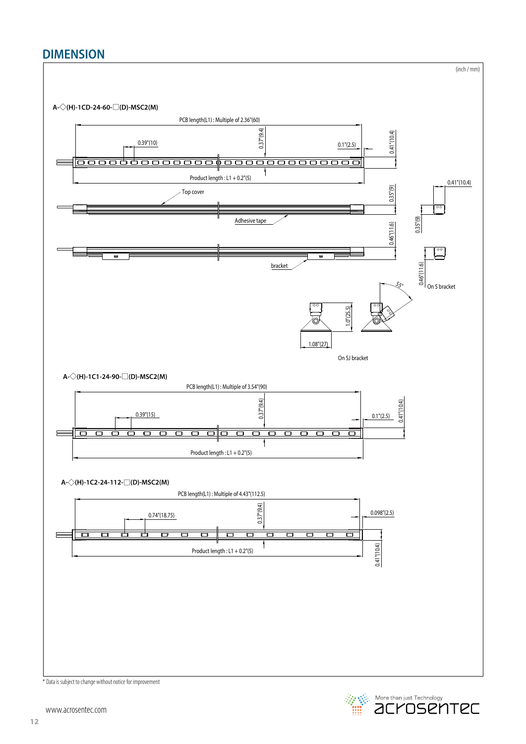## **DIMENSION**



 $\mathbb C^2$  More than just Technology<br> $\mathsf{C}\mathsf{C}\mathsf{C}\mathsf{C}\mathsf{C}$